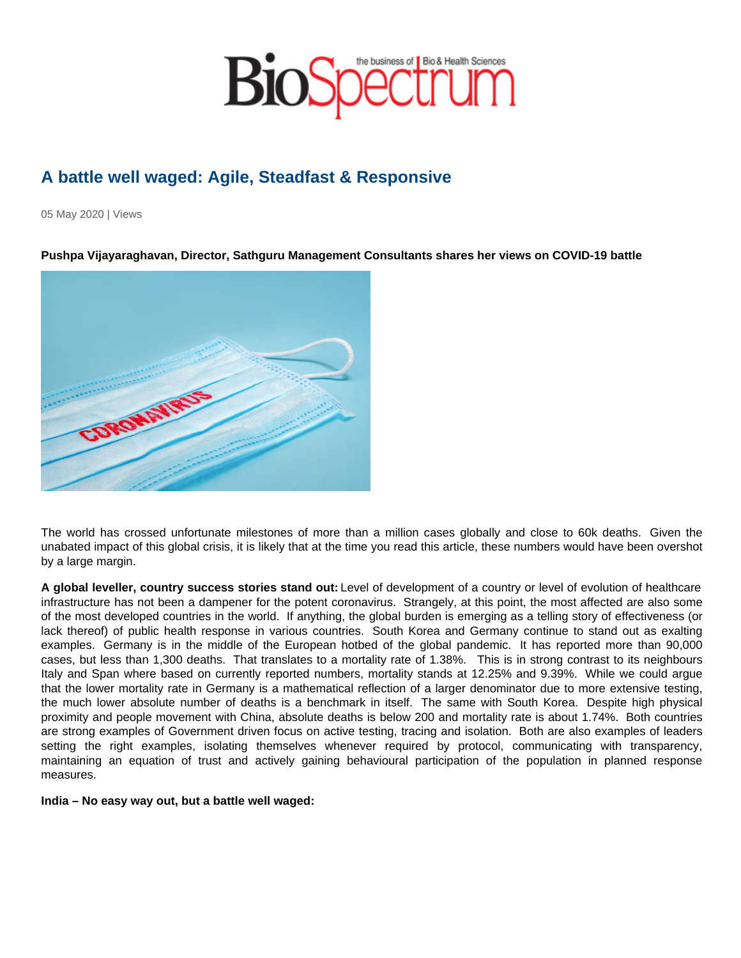## A battle well waged: Agile, Steadfast & Responsive

05 May 2020 | Views

Pushpa Vijayaraghavan, Director, Sathguru Management Consultants shares her views on COVID-19 battle

The world has crossed unfortunate milestones of more than a million cases globally and close to 60k deaths. Given the unabated impact of this global crisis, it is likely that at the time you read this article, these numbers would have been overshot by a large margin.

A global leveller, country success stories stand out: Level of development of a country or level of evolution of healthcare infrastructure has not been a dampener for the potent coronavirus. Strangely, at this point, the most affected are also some of the most developed countries in the world. If anything, the global burden is emerging as a telling story of effectiveness (or lack thereof) of public health response in various countries. South Korea and Germany continue to stand out as exalting examples. Germany is in the middle of the European hotbed of the global pandemic. It has reported more than 90,000 cases, but less than 1,300 deaths. That translates to a mortality rate of 1.38%. This is in strong contrast to its neighbours Italy and Span where based on currently reported numbers, mortality stands at 12.25% and 9.39%. While we could argue that the lower mortality rate in Germany is a mathematical reflection of a larger denominator due to more extensive testing, the much lower absolute number of deaths is a benchmark in itself. The same with South Korea. Despite high physical proximity and people movement with China, absolute deaths is below 200 and mortality rate is about 1.74%. Both countries are strong examples of Government driven focus on active testing, tracing and isolation. Both are also examples of leaders setting the right examples, isolating themselves whenever required by protocol, communicating with transparency, maintaining an equation of trust and actively gaining behavioural participation of the population in planned response measures.

India – No easy way out, but a battle well waged: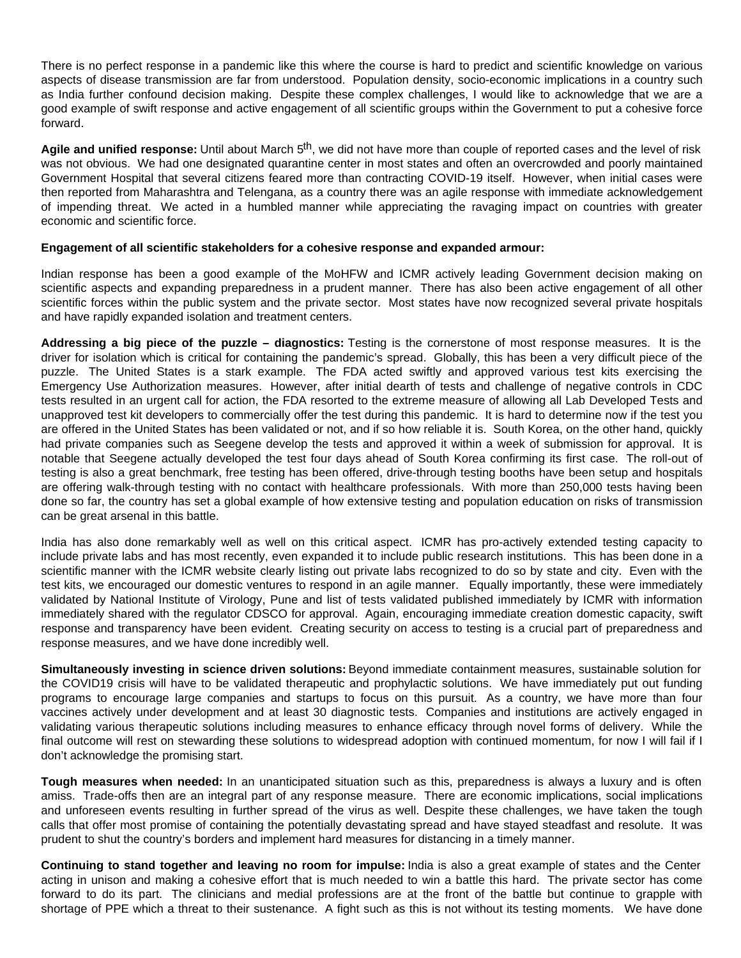There is no perfect response in a pandemic like this where the course is hard to predict and scientific knowledge on various aspects of disease transmission are far from understood. Population density, socio-economic implications in a country such as India further confound decision making. Despite these complex challenges, I would like to acknowledge that we are a good example of swift response and active engagement of all scientific groups within the Government to put a cohesive force forward.

**Agile and unified response:** Until about March 5th, we did not have more than couple of reported cases and the level of risk was not obvious. We had one designated quarantine center in most states and often an overcrowded and poorly maintained Government Hospital that several citizens feared more than contracting COVID-19 itself. However, when initial cases were then reported from Maharashtra and Telengana, as a country there was an agile response with immediate acknowledgement of impending threat. We acted in a humbled manner while appreciating the ravaging impact on countries with greater economic and scientific force.

## **Engagement of all scientific stakeholders for a cohesive response and expanded armour:**

Indian response has been a good example of the MoHFW and ICMR actively leading Government decision making on scientific aspects and expanding preparedness in a prudent manner. There has also been active engagement of all other scientific forces within the public system and the private sector. Most states have now recognized several private hospitals and have rapidly expanded isolation and treatment centers.

**Addressing a big piece of the puzzle – diagnostics:** Testing is the cornerstone of most response measures. It is the driver for isolation which is critical for containing the pandemic's spread. Globally, this has been a very difficult piece of the puzzle. The United States is a stark example. The FDA acted swiftly and approved various test kits exercising the Emergency Use Authorization measures. However, after initial dearth of tests and challenge of negative controls in CDC tests resulted in an urgent call for action, the FDA resorted to the extreme measure of allowing all Lab Developed Tests and unapproved test kit developers to commercially offer the test during this pandemic. It is hard to determine now if the test you are offered in the United States has been validated or not, and if so how reliable it is. South Korea, on the other hand, quickly had private companies such as Seegene develop the tests and approved it within a week of submission for approval. It is notable that Seegene actually developed the test four days ahead of South Korea confirming its first case. The roll-out of testing is also a great benchmark, free testing has been offered, drive-through testing booths have been setup and hospitals are offering walk-through testing with no contact with healthcare professionals. With more than 250,000 tests having been done so far, the country has set a global example of how extensive testing and population education on risks of transmission can be great arsenal in this battle.

India has also done remarkably well as well on this critical aspect. ICMR has pro-actively extended testing capacity to include private labs and has most recently, even expanded it to include public research institutions. This has been done in a scientific manner with the ICMR website clearly listing out private labs recognized to do so by state and city. Even with the test kits, we encouraged our domestic ventures to respond in an agile manner. Equally importantly, these were immediately validated by National Institute of Virology, Pune and list of tests validated published immediately by ICMR with information immediately shared with the regulator CDSCO for approval. Again, encouraging immediate creation domestic capacity, swift response and transparency have been evident. Creating security on access to testing is a crucial part of preparedness and response measures, and we have done incredibly well.

**Simultaneously investing in science driven solutions:** Beyond immediate containment measures, sustainable solution for the COVID19 crisis will have to be validated therapeutic and prophylactic solutions. We have immediately put out funding programs to encourage large companies and startups to focus on this pursuit. As a country, we have more than four vaccines actively under development and at least 30 diagnostic tests. Companies and institutions are actively engaged in validating various therapeutic solutions including measures to enhance efficacy through novel forms of delivery. While the final outcome will rest on stewarding these solutions to widespread adoption with continued momentum, for now I will fail if I don't acknowledge the promising start.

**Tough measures when needed:** In an unanticipated situation such as this, preparedness is always a luxury and is often amiss. Trade-offs then are an integral part of any response measure. There are economic implications, social implications and unforeseen events resulting in further spread of the virus as well. Despite these challenges, we have taken the tough calls that offer most promise of containing the potentially devastating spread and have stayed steadfast and resolute. It was prudent to shut the country's borders and implement hard measures for distancing in a timely manner.

**Continuing to stand together and leaving no room for impulse:** India is also a great example of states and the Center acting in unison and making a cohesive effort that is much needed to win a battle this hard. The private sector has come forward to do its part. The clinicians and medial professions are at the front of the battle but continue to grapple with shortage of PPE which a threat to their sustenance. A fight such as this is not without its testing moments. We have done